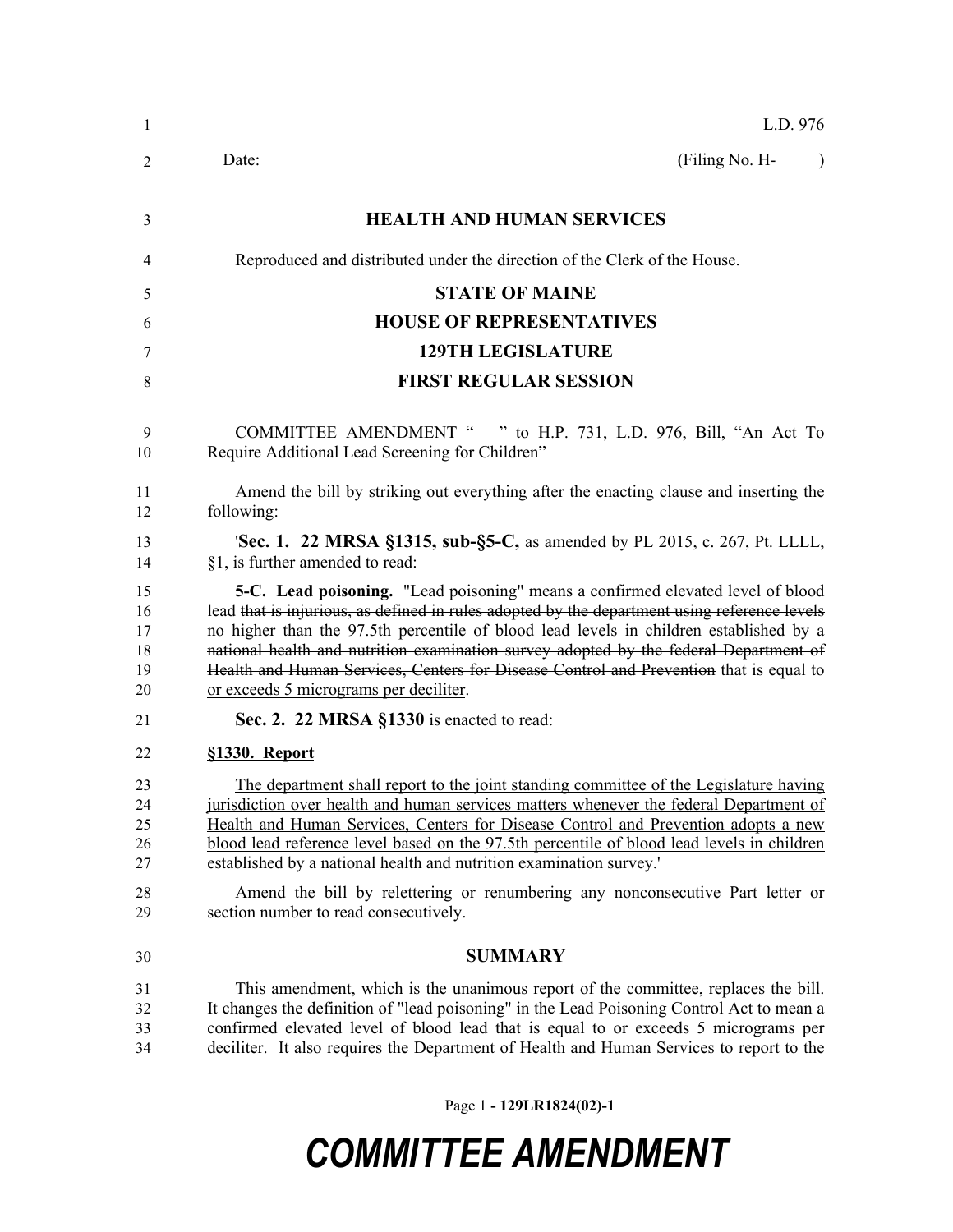| -1                               | L.D. 976                                                                                                                                                                                                                                                                                                                                                                                                                                                                                               |
|----------------------------------|--------------------------------------------------------------------------------------------------------------------------------------------------------------------------------------------------------------------------------------------------------------------------------------------------------------------------------------------------------------------------------------------------------------------------------------------------------------------------------------------------------|
| 2                                | (Filing No. H-<br>Date:<br>$\lambda$                                                                                                                                                                                                                                                                                                                                                                                                                                                                   |
| 3                                | <b>HEALTH AND HUMAN SERVICES</b>                                                                                                                                                                                                                                                                                                                                                                                                                                                                       |
| 4                                | Reproduced and distributed under the direction of the Clerk of the House.                                                                                                                                                                                                                                                                                                                                                                                                                              |
| 5                                | <b>STATE OF MAINE</b>                                                                                                                                                                                                                                                                                                                                                                                                                                                                                  |
| 6                                | <b>HOUSE OF REPRESENTATIVES</b>                                                                                                                                                                                                                                                                                                                                                                                                                                                                        |
| 7                                | <b>129TH LEGISLATURE</b>                                                                                                                                                                                                                                                                                                                                                                                                                                                                               |
| 8                                | <b>FIRST REGULAR SESSION</b>                                                                                                                                                                                                                                                                                                                                                                                                                                                                           |
| -9<br>10                         | <b>COMMITTEE AMENDMENT "</b><br>" to H.P. 731, L.D. 976, Bill, "An Act To<br>Require Additional Lead Screening for Children"                                                                                                                                                                                                                                                                                                                                                                           |
| 11<br>12                         | Amend the bill by striking out everything after the enacting clause and inserting the<br>following:                                                                                                                                                                                                                                                                                                                                                                                                    |
| 13<br>14                         | <b>'Sec. 1. 22 MRSA §1315, sub-§5-C, as amended by PL 2015, c. 267, Pt. LLLL,</b><br>§1, is further amended to read:                                                                                                                                                                                                                                                                                                                                                                                   |
| 15<br>16<br>17<br>18<br>19<br>20 | 5-C. Lead poisoning. "Lead poisoning" means a confirmed elevated level of blood<br>lead that is injurious, as defined in rules adopted by the department using reference levels<br>no higher than the 97.5th percentile of blood lead levels in children established by a<br>national health and nutrition examination survey adopted by the federal Department of<br>Health and Human Services, Centers for Disease Control and Prevention that is equal to<br>or exceeds 5 micrograms per deciliter. |
| 21                               | Sec. 2. 22 MRSA §1330 is enacted to read:                                                                                                                                                                                                                                                                                                                                                                                                                                                              |
| 22                               | §1330. Report                                                                                                                                                                                                                                                                                                                                                                                                                                                                                          |
| 23<br>24<br>25<br>26<br>27       | The department shall report to the joint standing committee of the Legislature having<br>jurisdiction over health and human services matters whenever the federal Department of<br>Health and Human Services, Centers for Disease Control and Prevention adopts a new<br>blood lead reference level based on the 97.5th percentile of blood lead levels in children<br>established by a national health and nutrition examination survey.'                                                             |
| 28<br>29                         | Amend the bill by relettering or renumbering any nonconsecutive Part letter or<br>section number to read consecutively.                                                                                                                                                                                                                                                                                                                                                                                |
| 30                               | <b>SUMMARY</b>                                                                                                                                                                                                                                                                                                                                                                                                                                                                                         |
| 31<br>32<br>33<br>34             | This amendment, which is the unanimous report of the committee, replaces the bill.<br>It changes the definition of "lead poisoning" in the Lead Poisoning Control Act to mean a<br>confirmed elevated level of blood lead that is equal to or exceeds 5 micrograms per<br>deciliter. It also requires the Department of Health and Human Services to report to the                                                                                                                                     |

Page 1 **- 129LR1824(02)-1**

## *COMMITTEE AMENDMENT*